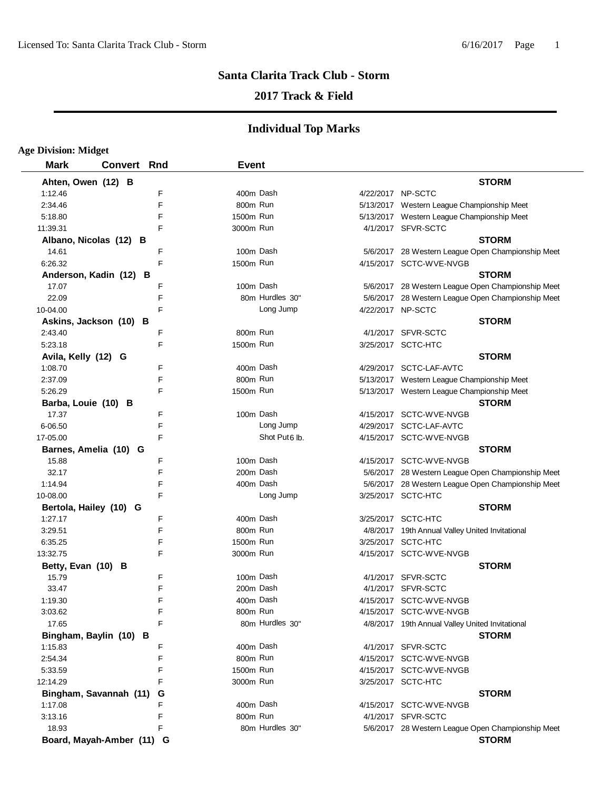# **2017 Track & Field**

| <b>Age Division: Midget</b>       |                    |   |              |                           |                                                                       |
|-----------------------------------|--------------------|---|--------------|---------------------------|-----------------------------------------------------------------------|
| <b>Mark</b>                       | <b>Convert Rnd</b> |   | <b>Event</b> |                           |                                                                       |
| Ahten, Owen (12) B                |                    |   |              |                           | <b>STORM</b>                                                          |
| 1:12.46                           |                    | F |              | 400m Dash                 | 4/22/2017 NP-SCTC                                                     |
| 2:34.46                           |                    | F | 800m Run     |                           | 5/13/2017 Western League Championship Meet                            |
| 5:18.80                           |                    | F | 1500m Run    |                           | 5/13/2017 Western League Championship Meet                            |
| 11:39.31                          |                    | F | 3000m Run    |                           | 4/1/2017 SFVR-SCTC                                                    |
| Albano, Nicolas (12) B            |                    |   |              |                           | <b>STORM</b>                                                          |
| 14.61                             |                    | F |              | 100m Dash                 | 5/6/2017 28 Western League Open Championship Meet                     |
| 6:26.32                           |                    | F | 1500m Run    |                           | 4/15/2017 SCTC-WVE-NVGB                                               |
| Anderson, Kadin (12) B            |                    |   |              |                           | <b>STORM</b>                                                          |
| 17.07                             |                    | F |              | 100m Dash                 | 5/6/2017 28 Western League Open Championship Meet                     |
| 22.09                             |                    | F |              | 80m Hurdles 30"           | 5/6/2017 28 Western League Open Championship Meet                     |
| 10-04.00                          |                    | F |              | Long Jump                 | 4/22/2017 NP-SCTC                                                     |
| Askins, Jackson (10) B            |                    |   |              |                           | <b>STORM</b>                                                          |
| 2:43.40                           |                    | F | 800m Run     |                           | 4/1/2017 SFVR-SCTC                                                    |
| 5:23.18                           |                    | F | 1500m Run    |                           | 3/25/2017 SCTC-HTC                                                    |
| Avila, Kelly (12) G               |                    |   |              |                           | <b>STORM</b>                                                          |
| 1:08.70                           |                    | F |              | 400m Dash                 | 4/29/2017 SCTC-LAF-AVTC                                               |
| 2:37.09                           |                    | F | 800m Run     |                           | 5/13/2017 Western League Championship Meet                            |
| 5:26.29                           |                    | F | 1500m Run    |                           | 5/13/2017 Western League Championship Meet                            |
| Barba, Louie (10) B               |                    |   |              |                           | <b>STORM</b>                                                          |
| 17.37                             |                    | F |              | 100m Dash                 | 4/15/2017 SCTC-WVE-NVGB                                               |
| 6-06.50                           |                    | F |              | Long Jump                 | 4/29/2017 SCTC-LAF-AVTC                                               |
| 17-05.00                          |                    | F |              | Shot Put <sub>6</sub> lb. | 4/15/2017 SCTC-WVE-NVGB                                               |
| Barnes, Amelia (10) G             |                    |   |              |                           | <b>STORM</b>                                                          |
| 15.88                             |                    | F |              | 100m Dash                 | 4/15/2017 SCTC-WVE-NVGB                                               |
| 32.17                             |                    | F |              | 200m Dash                 | 5/6/2017 28 Western League Open Championship Meet                     |
| 1:14.94                           |                    | F |              | 400m Dash                 | 5/6/2017 28 Western League Open Championship Meet                     |
| 10-08.00                          |                    | F |              | Long Jump                 | 3/25/2017 SCTC-HTC                                                    |
|                                   |                    |   |              |                           | <b>STORM</b>                                                          |
| Bertola, Hailey (10) G<br>1:27.17 |                    | F |              | 400m Dash                 | 3/25/2017 SCTC-HTC                                                    |
| 3:29.51                           |                    | F | 800m Run     |                           |                                                                       |
| 6:35.25                           |                    | F | 1500m Run    |                           | 4/8/2017 19th Annual Valley United Invitational<br>3/25/2017 SCTC-HTC |
| 13:32.75                          |                    | F | 3000m Run    |                           | 4/15/2017 SCTC-WVE-NVGB                                               |
|                                   |                    |   |              |                           |                                                                       |
| Betty, Evan (10) B                |                    | F |              | 100m Dash                 | <b>STORM</b>                                                          |
| 15.79                             |                    | F |              |                           | 4/1/2017 SFVR-SCTC                                                    |
| 33.47                             |                    |   |              | 200m Dash                 | 4/1/2017 SFVR-SCTC                                                    |
| 1:19.30                           |                    | F |              | 400m Dash                 | 4/15/2017 SCTC-WVE-NVGB                                               |
| 3:03.62                           |                    | F | 800m Run     |                           | 4/15/2017 SCTC-WVE-NVGB                                               |
| 17.65                             |                    | F |              | 80m Hurdles 30"           | 4/8/2017 19th Annual Valley United Invitational                       |
| Bingham, Baylin (10) B            |                    |   |              |                           | <b>STORM</b>                                                          |
| 1:15.83                           |                    | F |              | 400m Dash                 | 4/1/2017 SFVR-SCTC                                                    |
| 2:54.34                           |                    | F | 800m Run     |                           | 4/15/2017 SCTC-WVE-NVGB                                               |
| 5:33.59                           |                    | F | 1500m Run    |                           | 4/15/2017 SCTC-WVE-NVGB                                               |
| 12:14.29                          |                    | F | 3000m Run    |                           | 3/25/2017 SCTC-HTC                                                    |
| Bingham, Savannah (11)            |                    | G |              |                           | <b>STORM</b>                                                          |
| 1:17.08                           |                    | F |              | 400m Dash                 | 4/15/2017 SCTC-WVE-NVGB                                               |
| 3:13.16                           |                    | F | 800m Run     |                           | 4/1/2017 SFVR-SCTC                                                    |
| 18.93                             |                    | F |              | 80m Hurdles 30"           | 5/6/2017 28 Western League Open Championship Meet                     |
| Board, Mayah-Amber (11) G         |                    |   |              |                           | <b>STORM</b>                                                          |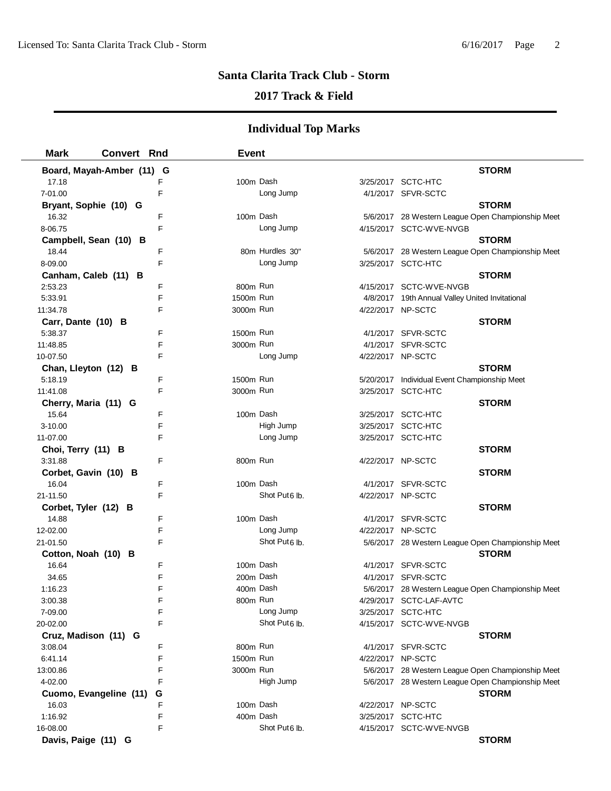# **2017 Track & Field**

| <b>Mark</b>          | <b>Convert Rnd</b>        |        | <b>Event</b> |                                        |                   |                                                                   |
|----------------------|---------------------------|--------|--------------|----------------------------------------|-------------------|-------------------------------------------------------------------|
|                      | Board, Mayah-Amber (11) G |        |              |                                        |                   | <b>STORM</b>                                                      |
| 17.18                |                           | F      | 100m Dash    |                                        |                   | 3/25/2017 SCTC-HTC                                                |
| 7-01.00              |                           | E      |              | Long Jump                              |                   | 4/1/2017 SFVR-SCTC                                                |
|                      | Bryant, Sophie (10) G     |        |              |                                        |                   | <b>STORM</b>                                                      |
| 16.32                |                           | F      | 100m Dash    |                                        |                   | 5/6/2017 28 Western League Open Championship Meet                 |
| 8-06.75              |                           | F      |              | Long Jump                              |                   | 4/15/2017 SCTC-WVE-NVGB                                           |
|                      | Campbell, Sean (10) B     |        |              |                                        |                   | <b>STORM</b>                                                      |
| 18.44                |                           | F      |              | 80m Hurdles 30"                        |                   | 5/6/2017 28 Western League Open Championship Meet                 |
| 8-09.00              |                           | F      |              | Long Jump                              |                   | 3/25/2017 SCTC-HTC                                                |
|                      | Canham, Caleb (11) B      |        |              |                                        |                   | <b>STORM</b>                                                      |
| 2:53.23              |                           | F      | 800m Run     |                                        |                   | 4/15/2017 SCTC-WVE-NVGB                                           |
| 5:33.91              |                           | F      | 1500m Run    |                                        |                   | 4/8/2017 19th Annual Valley United Invitational                   |
| 11:34.78             |                           | F      | 3000m Run    |                                        | 4/22/2017 NP-SCTC |                                                                   |
| Carr, Dante (10) B   |                           |        |              |                                        |                   | <b>STORM</b>                                                      |
| 5:38.37              |                           | F      | 1500m Run    |                                        |                   | 4/1/2017 SFVR-SCTC                                                |
| 11:48.85             |                           | F      | 3000m Run    |                                        |                   | 4/1/2017 SFVR-SCTC                                                |
| 10-07.50             |                           | F      |              | Long Jump                              | 4/22/2017 NP-SCTC |                                                                   |
|                      | Chan, Lleyton (12) B      |        |              |                                        |                   | <b>STORM</b>                                                      |
| 5:18.19              |                           | F      | 1500m Run    |                                        |                   | 5/20/2017 Individual Event Championship Meet                      |
| 11:41.08             |                           | F      | 3000m Run    |                                        |                   | 3/25/2017 SCTC-HTC                                                |
|                      | Cherry, Maria (11) G      |        |              |                                        |                   | <b>STORM</b>                                                      |
| 15.64                |                           | F      | 100m Dash    |                                        |                   | 3/25/2017 SCTC-HTC                                                |
| 3-10.00              |                           | F      |              | High Jump                              |                   | 3/25/2017 SCTC-HTC                                                |
| 11-07.00             |                           | F      |              | Long Jump                              |                   | 3/25/2017 SCTC-HTC                                                |
| Choi, Terry (11) B   |                           |        |              |                                        |                   | <b>STORM</b>                                                      |
| 3:31.88              |                           | F      | 800m Run     |                                        | 4/22/2017 NP-SCTC |                                                                   |
|                      | Corbet, Gavin (10) B      |        |              |                                        |                   | <b>STORM</b>                                                      |
| 16.04                |                           | F      | 100m Dash    |                                        |                   | 4/1/2017 SFVR-SCTC                                                |
| 21-11.50             |                           | F      |              | Shot Put6 lb.                          | 4/22/2017 NP-SCTC |                                                                   |
| Corbet, Tyler (12) B |                           |        |              |                                        |                   | <b>STORM</b>                                                      |
| 14.88                |                           | F      | 100m Dash    |                                        |                   | 4/1/2017 SFVR-SCTC                                                |
| 12-02.00             |                           | F<br>F |              | Long Jump<br>Shot Put <sub>6</sub> lb. | 4/22/2017 NP-SCTC |                                                                   |
| 21-01.50             |                           |        |              |                                        |                   | 5/6/2017 28 Western League Open Championship Meet<br><b>STORM</b> |
| 16.64                | Cotton, Noah (10) B       | F      | 100m Dash    |                                        |                   | 4/1/2017 SFVR-SCTC                                                |
| 34.65                |                           | F      | 200m Dash    |                                        | 4/1/2017          | SFVR-SCTC                                                         |
| 1:16.23              |                           | F      | 400m Dash    |                                        |                   | 5/6/2017 28 Western League Open Championship Meet                 |
| 3:00.38              |                           | F      | 800m Run     |                                        |                   | 4/29/2017 SCTC-LAF-AVTC                                           |
| 7-09.00              |                           | F      |              | Long Jump                              |                   | 3/25/2017 SCTC-HTC                                                |
| 20-02.00             |                           | F      |              | Shot Put <sub>6</sub> lb.              |                   | 4/15/2017 SCTC-WVE-NVGB                                           |
|                      | Cruz, Madison (11) G      |        |              |                                        |                   | <b>STORM</b>                                                      |
| 3:08.04              |                           | F      | 800m Run     |                                        |                   | 4/1/2017 SFVR-SCTC                                                |
| 6:41.14              |                           | F      | 1500m Run    |                                        | 4/22/2017 NP-SCTC |                                                                   |
| 13:00.86             |                           | F      | 3000m Run    |                                        |                   | 5/6/2017 28 Western League Open Championship Meet                 |
| 4-02.00              |                           | F      |              | High Jump                              |                   | 5/6/2017 28 Western League Open Championship Meet                 |
|                      | Cuomo, Evangeline (11)    | G      |              |                                        |                   | <b>STORM</b>                                                      |
| 16.03                |                           | F      | 100m Dash    |                                        |                   | 4/22/2017 NP-SCTC                                                 |
| 1:16.92              |                           | F      | 400m Dash    |                                        |                   | 3/25/2017 SCTC-HTC                                                |
| 16-08.00             |                           | F      |              | Shot Put <sub>6</sub> lb.              |                   | 4/15/2017 SCTC-WVE-NVGB                                           |
| Davis, Paige (11) G  |                           |        |              |                                        |                   | <b>STORM</b>                                                      |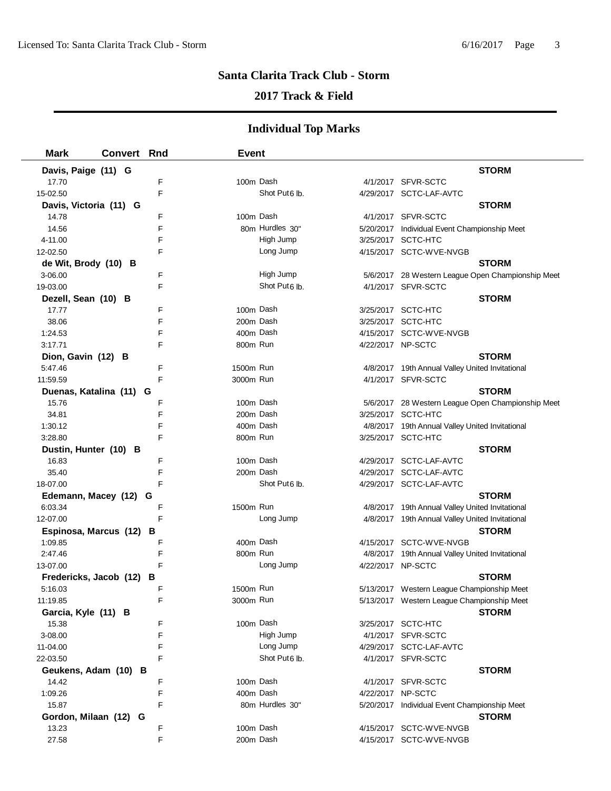# **2017 Track & Field**

| <b>Mark</b>             | <b>Convert Rnd</b> |   | <b>Event</b> |                           |                                                   |
|-------------------------|--------------------|---|--------------|---------------------------|---------------------------------------------------|
| Davis, Paige (11) G     |                    |   |              |                           | <b>STORM</b>                                      |
| 17.70                   |                    | F | 100m Dash    |                           | 4/1/2017 SFVR-SCTC                                |
| 15-02.50                |                    | F |              | Shot Put <sub>6</sub> lb. | 4/29/2017 SCTC-LAF-AVTC                           |
| Davis, Victoria (11) G  |                    |   |              |                           | <b>STORM</b>                                      |
| 14.78                   |                    | F | 100m Dash    |                           | 4/1/2017 SFVR-SCTC                                |
| 14.56                   |                    | F |              | 80m Hurdles 30"           | 5/20/2017 Individual Event Championship Meet      |
| 4-11.00                 |                    | F |              | High Jump                 | 3/25/2017 SCTC-HTC                                |
| 12-02.50                |                    | F |              | Long Jump                 | 4/15/2017 SCTC-WVE-NVGB                           |
| de Wit, Brody (10) B    |                    |   |              |                           | <b>STORM</b>                                      |
| 3-06.00                 |                    | F |              | High Jump                 | 5/6/2017 28 Western League Open Championship Meet |
| 19-03.00                |                    | F |              | Shot Put <sub>6</sub> lb. | 4/1/2017 SFVR-SCTC                                |
| Dezell, Sean (10) B     |                    |   |              |                           | <b>STORM</b>                                      |
| 17.77                   |                    | F | 100m Dash    |                           | 3/25/2017 SCTC-HTC                                |
| 38.06                   |                    | F | 200m Dash    |                           | 3/25/2017 SCTC-HTC                                |
| 1:24.53                 |                    | F | 400m Dash    |                           | 4/15/2017 SCTC-WVE-NVGB                           |
| 3:17.71                 |                    | F | 800m Run     |                           | 4/22/2017 NP-SCTC                                 |
| Dion, Gavin (12) B      |                    |   |              |                           | <b>STORM</b>                                      |
| 5:47.46                 |                    | F | 1500m Run    |                           | 4/8/2017 19th Annual Valley United Invitational   |
| 11:59.59                |                    | F | 3000m Run    |                           | 4/1/2017 SFVR-SCTC                                |
| Duenas, Katalina (11) G |                    |   |              |                           | <b>STORM</b>                                      |
| 15.76                   |                    | F | 100m Dash    |                           | 5/6/2017 28 Western League Open Championship Meet |
| 34.81                   |                    | F |              | 200m Dash                 | 3/25/2017 SCTC-HTC                                |
| 1:30.12                 |                    | F |              | 400m Dash                 | 4/8/2017 19th Annual Valley United Invitational   |
| 3:28.80                 |                    | F | 800m Run     |                           | 3/25/2017 SCTC-HTC                                |
| Dustin, Hunter (10) B   |                    |   |              |                           | <b>STORM</b>                                      |
| 16.83                   |                    | F | 100m Dash    |                           | 4/29/2017 SCTC-LAF-AVTC                           |
| 35.40                   |                    | F | 200m Dash    |                           | 4/29/2017 SCTC-LAF-AVTC                           |
| 18-07.00                |                    | F |              | Shot Put6 lb.             | 4/29/2017 SCTC-LAF-AVTC                           |
| Edemann, Macey (12) G   |                    |   |              |                           | <b>STORM</b>                                      |
| 6:03.34                 |                    | F | 1500m Run    |                           | 4/8/2017 19th Annual Valley United Invitational   |
| 12-07.00                |                    | F |              | Long Jump                 | 4/8/2017 19th Annual Valley United Invitational   |
| Espinosa, Marcus (12)   |                    | в |              |                           | <b>STORM</b>                                      |
| 1:09.85                 |                    | F | 400m Dash    |                           | 4/15/2017 SCTC-WVE-NVGB                           |
| 2:47.46                 |                    | F | 800m Run     |                           | 4/8/2017 19th Annual Valley United Invitational   |
| 13-07.00                |                    | F |              | Long Jump                 | 4/22/2017 NP-SCTC                                 |
| Fredericks, Jacob (12)  |                    | в |              |                           | <b>STORM</b>                                      |
| 5:16.03                 |                    | F | 1500m Run    |                           | 5/13/2017 Western League Championship Meet        |
| 11:19.85                |                    | F | 3000m Run    |                           | 5/13/2017 Western League Championship Meet        |
| Garcia, Kyle (11) B     |                    |   |              |                           | <b>STORM</b>                                      |
| 15.38                   |                    | F |              | 100m Dash                 | 3/25/2017 SCTC-HTC                                |
| 3-08.00                 |                    | F |              | High Jump                 | 4/1/2017 SFVR-SCTC                                |
| 11-04.00                |                    | F |              | Long Jump                 | 4/29/2017 SCTC-LAF-AVTC                           |
| 22-03.50                |                    | F |              | Shot Put <sub>6</sub> lb. | 4/1/2017 SFVR-SCTC                                |
| Geukens, Adam (10) B    |                    |   |              |                           | <b>STORM</b>                                      |
| 14.42                   |                    | F | 100m Dash    |                           | 4/1/2017 SFVR-SCTC                                |
| 1:09.26                 |                    | F | 400m Dash    |                           | 4/22/2017 NP-SCTC                                 |
| 15.87                   |                    | F |              | 80m Hurdles 30"           | 5/20/2017 Individual Event Championship Meet      |
| Gordon, Milaan (12) G   |                    |   |              |                           | <b>STORM</b>                                      |
| 13.23                   |                    | F |              | 100m Dash                 | 4/15/2017 SCTC-WVE-NVGB                           |
| 27.58                   |                    | F | 200m Dash    |                           | 4/15/2017 SCTC-WVE-NVGB                           |
|                         |                    |   |              |                           |                                                   |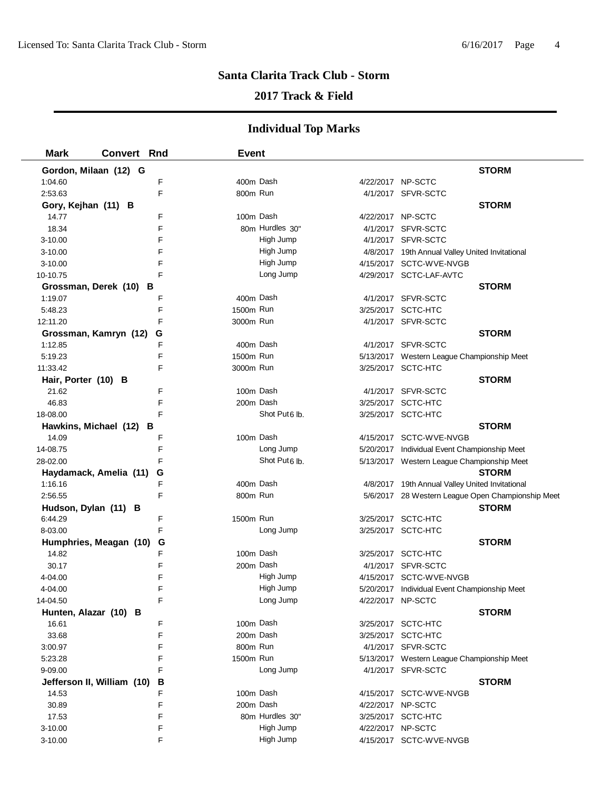# **2017 Track & Field**

| <b>Mark</b>           | <b>Convert Rnd</b>         |   | <b>Event</b> |                           |                   |                                                   |  |
|-----------------------|----------------------------|---|--------------|---------------------------|-------------------|---------------------------------------------------|--|
| Gordon, Milaan (12) G |                            |   |              |                           |                   | <b>STORM</b>                                      |  |
| 1:04.60               |                            | F | 400m Dash    |                           | 4/22/2017 NP-SCTC |                                                   |  |
| 2:53.63               |                            | F | 800m Run     |                           |                   | 4/1/2017 SFVR-SCTC                                |  |
| Gory, Kejhan (11) B   |                            |   |              |                           |                   | <b>STORM</b>                                      |  |
| 14.77                 |                            | F | 100m Dash    |                           | 4/22/2017 NP-SCTC |                                                   |  |
| 18.34                 |                            | F |              | 80m Hurdles 30"           |                   | 4/1/2017 SFVR-SCTC                                |  |
| $3 - 10.00$           |                            | F |              | High Jump                 |                   | 4/1/2017 SFVR-SCTC                                |  |
| $3 - 10.00$           |                            | F |              | High Jump                 |                   | 4/8/2017 19th Annual Valley United Invitational   |  |
| $3 - 10.00$           |                            | F |              | High Jump                 |                   | 4/15/2017 SCTC-WVE-NVGB                           |  |
| 10-10.75              |                            | F |              | Long Jump                 |                   | 4/29/2017 SCTC-LAF-AVTC                           |  |
|                       | Grossman, Derek (10) B     |   |              |                           |                   | <b>STORM</b>                                      |  |
| 1:19.07               |                            | F | 400m Dash    |                           |                   | 4/1/2017 SFVR-SCTC                                |  |
| 5:48.23               |                            | F | 1500m Run    |                           |                   | 3/25/2017 SCTC-HTC                                |  |
| 12:11.20              |                            | F | 3000m Run    |                           |                   | 4/1/2017 SFVR-SCTC                                |  |
| Grossman, Kamryn (12) |                            | G |              |                           |                   | <b>STORM</b>                                      |  |
| 1:12.85               |                            | F | 400m Dash    |                           |                   | 4/1/2017 SFVR-SCTC                                |  |
| 5:19.23               |                            | F | 1500m Run    |                           |                   | 5/13/2017 Western League Championship Meet        |  |
| 11:33.42              |                            | F | 3000m Run    |                           |                   | 3/25/2017 SCTC-HTC                                |  |
| Hair, Porter (10) B   |                            |   |              |                           |                   | <b>STORM</b>                                      |  |
| 21.62                 |                            | F | 100m Dash    |                           |                   | 4/1/2017 SFVR-SCTC                                |  |
| 46.83                 |                            | F | 200m Dash    |                           |                   | 3/25/2017 SCTC-HTC                                |  |
| 18-08.00              |                            | F |              | Shot Put <sub>6</sub> lb. |                   | 3/25/2017 SCTC-HTC                                |  |
|                       | Hawkins, Michael (12) B    |   |              |                           |                   | <b>STORM</b>                                      |  |
| 14.09                 |                            | F | 100m Dash    |                           |                   | 4/15/2017 SCTC-WVE-NVGB                           |  |
| 14-08.75              |                            | F |              | Long Jump                 |                   | 5/20/2017 Individual Event Championship Meet      |  |
| 28-02.00              |                            | F |              | Shot Put <sub>6</sub> lb. |                   | 5/13/2017 Western League Championship Meet        |  |
|                       | Haydamack, Amelia (11)     | G |              |                           |                   | <b>STORM</b>                                      |  |
| 1:16.16               |                            | F | 400m Dash    |                           |                   | 4/8/2017 19th Annual Valley United Invitational   |  |
| 2:56.55               |                            | F | 800m Run     |                           |                   | 5/6/2017 28 Western League Open Championship Meet |  |
| Hudson, Dylan (11) B  |                            |   |              |                           |                   | <b>STORM</b>                                      |  |
| 6:44.29               |                            | F | 1500m Run    |                           |                   | 3/25/2017 SCTC-HTC                                |  |
| 8-03.00               |                            | F |              | Long Jump                 |                   | 3/25/2017 SCTC-HTC                                |  |
|                       | Humphries, Meagan (10)     | G |              |                           |                   | <b>STORM</b>                                      |  |
| 14.82                 |                            | F | 100m Dash    |                           |                   | 3/25/2017 SCTC-HTC                                |  |
| 30.17                 |                            | F | 200m Dash    |                           |                   | 4/1/2017 SFVR-SCTC                                |  |
| 4-04.00               |                            | F |              | High Jump                 |                   | 4/15/2017 SCTC-WVE-NVGB                           |  |
| 4-04.00               |                            | F |              | High Jump                 |                   | 5/20/2017 Individual Event Championship Meet      |  |
| 14-04.50              |                            | F |              | Long Jump                 | 4/22/2017 NP-SCTC |                                                   |  |
| Hunten, Alazar (10) B |                            |   |              |                           |                   | <b>STORM</b>                                      |  |
| 16.61                 |                            | F | 100m Dash    |                           |                   | 3/25/2017 SCTC-HTC                                |  |
| 33.68                 |                            | F | 200m Dash    |                           |                   | 3/25/2017 SCTC-HTC                                |  |
| 3:00.97               |                            | F | 800m Run     |                           |                   | 4/1/2017 SFVR-SCTC                                |  |
| 5:23.28               |                            | F | 1500m Run    |                           |                   | 5/13/2017 Western League Championship Meet        |  |
| $9 - 09.00$           |                            | F |              | Long Jump                 |                   | 4/1/2017 SFVR-SCTC                                |  |
|                       | Jefferson II, William (10) | в |              |                           |                   | <b>STORM</b>                                      |  |
| 14.53                 |                            | F | 100m Dash    |                           |                   | 4/15/2017 SCTC-WVE-NVGB                           |  |
| 30.89                 |                            | F | 200m Dash    |                           | 4/22/2017 NP-SCTC |                                                   |  |
| 17.53                 |                            | F |              | 80m Hurdles 30"           |                   | 3/25/2017 SCTC-HTC                                |  |
| $3 - 10.00$           |                            | F |              | High Jump                 | 4/22/2017 NP-SCTC |                                                   |  |
| 3-10.00               |                            | F |              | High Jump                 |                   | 4/15/2017 SCTC-WVE-NVGB                           |  |
|                       |                            |   |              |                           |                   |                                                   |  |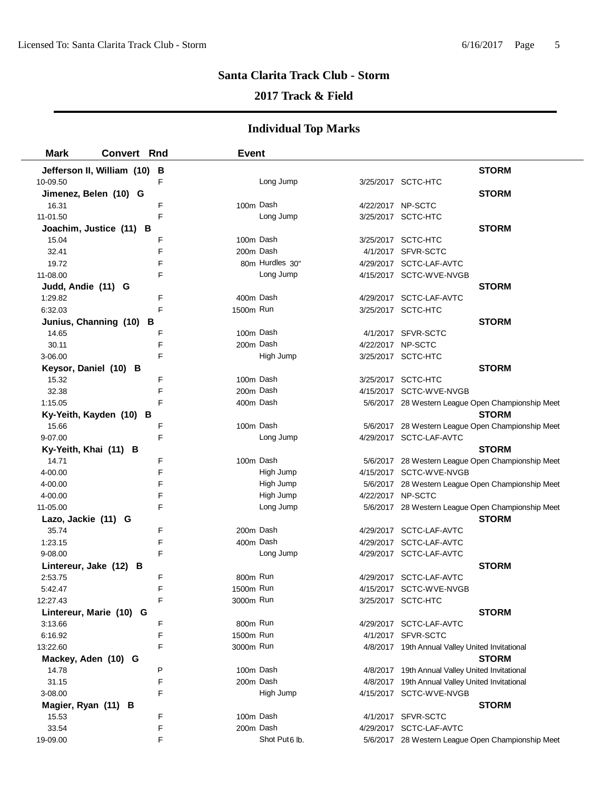## **2017 Track & Field**

| <b>Mark</b>                  | <b>Convert Rnd</b>           | <b>Event</b> |                 |                   |                                                                            |
|------------------------------|------------------------------|--------------|-----------------|-------------------|----------------------------------------------------------------------------|
|                              | Jefferson II, William (10) B |              |                 |                   | <b>STORM</b>                                                               |
| 10-09.50                     | F                            |              | Long Jump       |                   | 3/25/2017 SCTC-HTC                                                         |
|                              | Jimenez, Belen (10) G        |              |                 |                   | <b>STORM</b>                                                               |
| 16.31                        | F                            | 100m Dash    |                 | 4/22/2017 NP-SCTC |                                                                            |
| 11-01.50                     | E                            |              | Long Jump       |                   | 3/25/2017 SCTC-HTC                                                         |
|                              | Joachim, Justice (11) B      |              |                 |                   | <b>STORM</b>                                                               |
| 15.04                        | F                            | 100m Dash    |                 |                   | 3/25/2017 SCTC-HTC                                                         |
| 32.41                        | F                            | 200m Dash    |                 |                   | 4/1/2017 SFVR-SCTC                                                         |
| 19.72                        | F                            |              | 80m Hurdles 30" |                   | 4/29/2017 SCTC-LAF-AVTC                                                    |
| 11-08.00                     | F                            |              | Long Jump       |                   | 4/15/2017 SCTC-WVE-NVGB                                                    |
| Judd, Andie (11) G           |                              |              |                 |                   | <b>STORM</b>                                                               |
| 1:29.82                      | F                            | 400m Dash    |                 |                   | 4/29/2017 SCTC-LAF-AVTC                                                    |
| 6:32.03                      | F                            | 1500m Run    |                 |                   | 3/25/2017 SCTC-HTC                                                         |
|                              | Junius, Channing (10)<br>в   |              |                 |                   | <b>STORM</b>                                                               |
| 14.65                        | F                            | 100m Dash    |                 |                   | 4/1/2017 SFVR-SCTC                                                         |
| 30.11                        | F                            | 200m Dash    |                 | 4/22/2017 NP-SCTC |                                                                            |
| 3-06.00                      | F                            |              | High Jump       |                   | 3/25/2017 SCTC-HTC                                                         |
| Keysor, Daniel (10) B        |                              |              |                 |                   | <b>STORM</b>                                                               |
| 15.32                        | F                            | 100m Dash    |                 |                   | 3/25/2017 SCTC-HTC                                                         |
| 32.38                        | F                            | 200m Dash    |                 |                   | 4/15/2017 SCTC-WVE-NVGB                                                    |
| 1:15.05                      | F                            | 400m Dash    |                 |                   | 5/6/2017 28 Western League Open Championship Meet                          |
|                              | Ky-Yeith, Kayden (10) B      |              |                 |                   | <b>STORM</b>                                                               |
| 15.66                        | F                            | 100m Dash    |                 |                   | 5/6/2017 28 Western League Open Championship Meet                          |
| 9-07.00                      | F                            |              | Long Jump       |                   | 4/29/2017 SCTC-LAF-AVTC                                                    |
| Ky-Yeith, Khai (11) B        |                              |              |                 |                   | <b>STORM</b>                                                               |
| 14.71                        | F                            | 100m Dash    |                 |                   | 5/6/2017 28 Western League Open Championship Meet                          |
| 4-00.00                      | F                            |              | High Jump       |                   | 4/15/2017 SCTC-WVE-NVGB                                                    |
| 4-00.00                      | F                            |              | High Jump       |                   | 5/6/2017 28 Western League Open Championship Meet                          |
| 4-00.00                      | F                            |              | High Jump       | 4/22/2017 NP-SCTC |                                                                            |
| 11-05.00                     | F                            |              | Long Jump       |                   | 5/6/2017 28 Western League Open Championship Meet                          |
| Lazo, Jackie (11) G          |                              |              |                 |                   | <b>STORM</b>                                                               |
| 35.74                        | F                            | 200m Dash    |                 |                   | 4/29/2017 SCTC-LAF-AVTC                                                    |
| 1:23.15                      | F                            | 400m Dash    |                 |                   | 4/29/2017 SCTC-LAF-AVTC                                                    |
| 9-08.00                      | F                            |              | Long Jump       |                   | 4/29/2017 SCTC-LAF-AVTC                                                    |
|                              | Lintereur, Jake (12) B       |              |                 |                   | <b>STORM</b>                                                               |
| 2:53.75                      | F                            | 800m Run     |                 |                   | 4/29/2017 SCTC-LAF-AVTC                                                    |
| 5:42.47                      | F                            | 1500m Run    |                 |                   | 4/15/2017 SCTC-WVE-NVGB                                                    |
| 12:27.43                     | F                            | 3000m Run    |                 |                   | 3/25/2017 SCTC-HTC                                                         |
|                              | Lintereur, Marie (10) G      |              |                 |                   | <b>STORM</b>                                                               |
| 3:13.66                      | F                            | 800m Run     |                 |                   | 4/29/2017 SCTC-LAF-AVTC                                                    |
| 6:16.92                      | F                            | 1500m Run    |                 |                   | 4/1/2017 SFVR-SCTC                                                         |
| 13:22.60                     | F                            | 3000m Run    |                 |                   | 4/8/2017 19th Annual Valley United Invitational                            |
| Mackey, Aden (10) G          | P                            | 100m Dash    |                 |                   | <b>STORM</b>                                                               |
| 14.78<br>31.15               | F                            | 200m Dash    |                 |                   | 4/8/2017 19th Annual Valley United Invitational                            |
| 3-08.00                      | F                            |              | High Jump       |                   | 4/8/2017 19th Annual Valley United Invitational<br>4/15/2017 SCTC-WVE-NVGB |
|                              |                              |              |                 |                   | <b>STORM</b>                                                               |
| Magier, Ryan (11) B<br>15.53 | F                            | 100m Dash    |                 |                   | 4/1/2017 SFVR-SCTC                                                         |
| 33.54                        | F                            | 200m Dash    |                 |                   | 4/29/2017 SCTC-LAF-AVTC                                                    |
| 19-09.00                     | F                            |              | Shot Put6 lb.   |                   | 5/6/2017 28 Western League Open Championship Meet                          |
|                              |                              |              |                 |                   |                                                                            |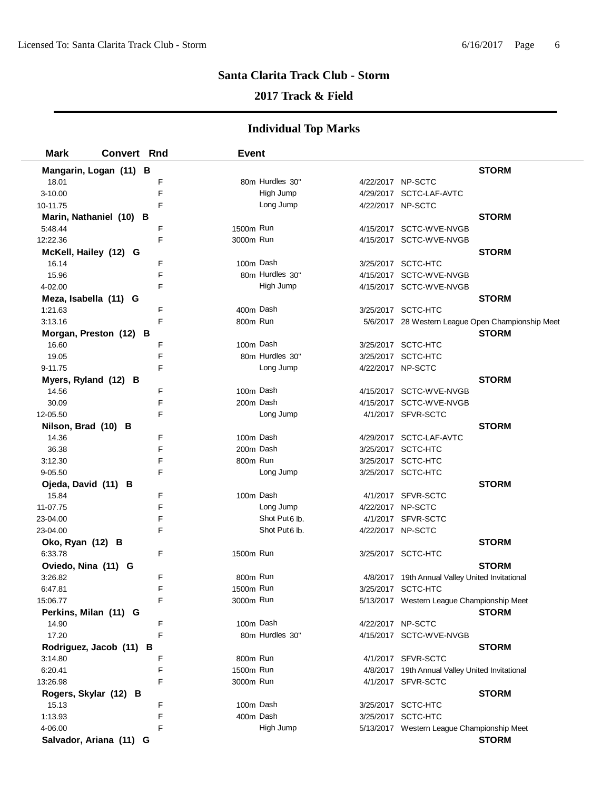## **2017 Track & Field**

| <b>Mark</b>                    | <b>Convert Rnd</b>      | <b>Event</b> |                           |                   |                                                   |  |
|--------------------------------|-------------------------|--------------|---------------------------|-------------------|---------------------------------------------------|--|
|                                | Mangarin, Logan (11) B  |              |                           |                   | <b>STORM</b>                                      |  |
| 18.01                          | F                       |              | 80m Hurdles 30"           | 4/22/2017 NP-SCTC |                                                   |  |
| 3-10.00                        | F                       |              | High Jump                 |                   | 4/29/2017 SCTC-LAF-AVTC                           |  |
| 10-11.75                       | F                       |              | Long Jump                 | 4/22/2017 NP-SCTC |                                                   |  |
|                                | Marin, Nathaniel (10) B |              |                           |                   | <b>STORM</b>                                      |  |
| 5:48.44                        | F                       | 1500m Run    |                           |                   | 4/15/2017 SCTC-WVE-NVGB                           |  |
| 12:22.36                       | F                       | 3000m Run    |                           |                   | 4/15/2017 SCTC-WVE-NVGB                           |  |
| McKell, Hailey (12) G          |                         |              |                           |                   | <b>STORM</b>                                      |  |
| 16.14                          | F                       | 100m Dash    |                           |                   | 3/25/2017 SCTC-HTC                                |  |
| 15.96                          | F                       |              | 80m Hurdles 30"           |                   | 4/15/2017 SCTC-WVE-NVGB                           |  |
| 4-02.00                        | F                       |              | High Jump                 |                   | 4/15/2017 SCTC-WVE-NVGB                           |  |
| Meza, Isabella (11) G          |                         |              |                           |                   | <b>STORM</b>                                      |  |
| 1:21.63                        | F                       | 400m Dash    |                           |                   | 3/25/2017 SCTC-HTC                                |  |
| 3:13.16                        | F                       | 800m Run     |                           |                   | 5/6/2017 28 Western League Open Championship Meet |  |
|                                | Morgan, Preston (12) B  |              |                           |                   | <b>STORM</b>                                      |  |
| 16.60                          | F                       | 100m Dash    |                           |                   | 3/25/2017 SCTC-HTC                                |  |
| 19.05                          | F                       |              | 80m Hurdles 30"           |                   | 3/25/2017 SCTC-HTC                                |  |
| 9-11.75                        | F                       |              | Long Jump                 | 4/22/2017 NP-SCTC |                                                   |  |
|                                |                         |              |                           |                   | <b>STORM</b>                                      |  |
| Myers, Ryland (12) B<br>14.56  | F                       | 100m Dash    |                           |                   | 4/15/2017 SCTC-WVE-NVGB                           |  |
| 30.09                          | F                       | 200m Dash    |                           |                   | 4/15/2017 SCTC-WVE-NVGB                           |  |
| 12-05.50                       | F                       |              | Long Jump                 |                   | 4/1/2017 SFVR-SCTC                                |  |
|                                |                         |              |                           |                   | <b>STORM</b>                                      |  |
| Nilson, Brad (10) B<br>14.36   | F                       | 100m Dash    |                           |                   | 4/29/2017 SCTC-LAF-AVTC                           |  |
|                                | F                       | 200m Dash    |                           |                   | 3/25/2017 SCTC-HTC                                |  |
| 36.38<br>3:12.30               | F                       | 800m Run     |                           |                   | 3/25/2017 SCTC-HTC                                |  |
|                                | F                       |              | Long Jump                 |                   | 3/25/2017 SCTC-HTC                                |  |
| $9 - 05.50$                    |                         |              |                           |                   | <b>STORM</b>                                      |  |
| Ojeda, David (11) B<br>15.84   | F                       | 100m Dash    |                           |                   | 4/1/2017 SFVR-SCTC                                |  |
| 11-07.75                       | F                       |              | Long Jump                 | 4/22/2017 NP-SCTC |                                                   |  |
| 23-04.00                       | F                       |              | Shot Put <sub>6</sub> lb. |                   | 4/1/2017 SFVR-SCTC                                |  |
| 23-04.00                       | F                       |              | Shot Put <sub>6</sub> lb. | 4/22/2017 NP-SCTC |                                                   |  |
|                                |                         |              |                           |                   | <b>STORM</b>                                      |  |
| Oko, Ryan (12) B<br>6:33.78    | F                       | 1500m Run    |                           |                   | 3/25/2017 SCTC-HTC                                |  |
|                                |                         |              |                           |                   | <b>STORM</b>                                      |  |
| Oviedo, Nina (11) G<br>3:26.82 | F                       | 800m Run     |                           |                   | 4/8/2017 19th Annual Valley United Invitational   |  |
| 6:47.81                        | F                       | 1500m Run    |                           |                   | 3/25/2017 SCTC-HTC                                |  |
| 15:06.77                       |                         | 3000m Run    |                           |                   | 5/13/2017 Western League Championship Meet        |  |
| Perkins, Milan (11) G          |                         |              |                           |                   | <b>STORM</b>                                      |  |
| 14.90                          | F                       | 100m Dash    |                           | 4/22/2017 NP-SCTC |                                                   |  |
| 17.20                          | F                       |              | 80m Hurdles 30"           |                   | 4/15/2017 SCTC-WVE-NVGB                           |  |
|                                | Rodriguez, Jacob (11) B |              |                           |                   | <b>STORM</b>                                      |  |
| 3:14.80                        | F                       | 800m Run     |                           |                   | 4/1/2017 SFVR-SCTC                                |  |
| 6:20.41                        | F                       | 1500m Run    |                           |                   | 4/8/2017 19th Annual Valley United Invitational   |  |
| 13:26.98                       | F                       | 3000m Run    |                           |                   | 4/1/2017 SFVR-SCTC                                |  |
|                                | Rogers, Skylar (12) B   |              |                           |                   | <b>STORM</b>                                      |  |
| 15.13                          | F                       | 100m Dash    |                           |                   | 3/25/2017 SCTC-HTC                                |  |
| 1:13.93                        | F                       | 400m Dash    |                           |                   | 3/25/2017 SCTC-HTC                                |  |
| 4-06.00                        | F                       |              | High Jump                 |                   |                                                   |  |
|                                |                         |              |                           |                   | 5/13/2017 Western League Championship Meet        |  |
|                                | Salvador, Ariana (11) G |              |                           |                   | <b>STORM</b>                                      |  |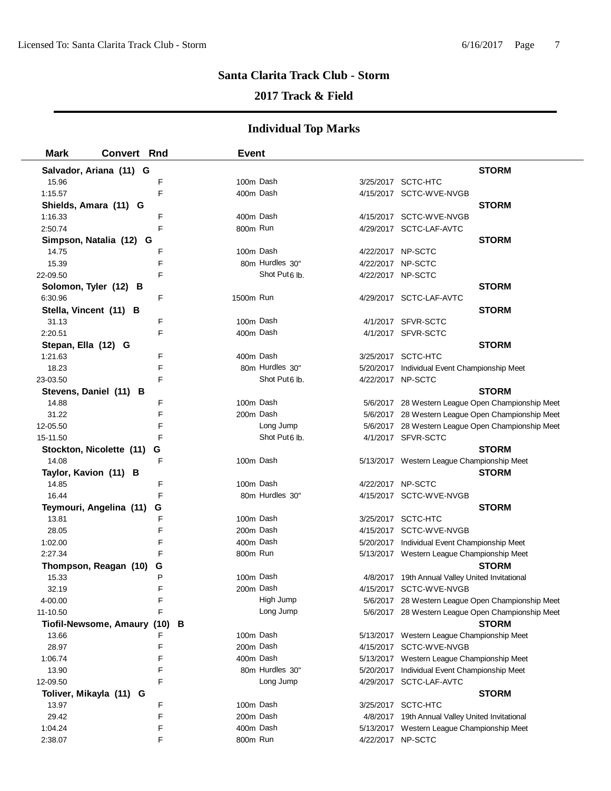# **2017 Track & Field**

| <b>Mark</b>            | <b>Convert Rnd</b>                    | <b>Event</b> |                           |                                                                                            |
|------------------------|---------------------------------------|--------------|---------------------------|--------------------------------------------------------------------------------------------|
|                        | Salvador, Ariana (11) G               |              |                           | <b>STORM</b>                                                                               |
| 15.96                  | F                                     | 100m Dash    |                           | 3/25/2017 SCTC-HTC                                                                         |
| 1:15.57                | F                                     | 400m Dash    |                           | 4/15/2017 SCTC-WVE-NVGB                                                                    |
| Shields, Amara (11) G  |                                       |              |                           | <b>STORM</b>                                                                               |
| 1:16.33                | F                                     | 400m Dash    |                           | 4/15/2017 SCTC-WVE-NVGB                                                                    |
| 2:50.74                | F                                     | 800m Run     |                           | 4/29/2017 SCTC-LAF-AVTC                                                                    |
|                        | Simpson, Natalia (12) G               |              |                           | <b>STORM</b>                                                                               |
| 14.75                  | F                                     | 100m Dash    |                           | 4/22/2017 NP-SCTC                                                                          |
| 15.39                  | F                                     |              | 80m Hurdles 30"           | 4/22/2017 NP-SCTC                                                                          |
| 22-09.50               | F                                     |              | Shot Put <sub>6</sub> lb. | 4/22/2017 NP-SCTC                                                                          |
| Solomon, Tyler (12) B  |                                       |              |                           | <b>STORM</b>                                                                               |
| 6:30.96                | F                                     | 1500m Run    |                           | 4/29/2017 SCTC-LAF-AVTC                                                                    |
| Stella, Vincent (11) B |                                       |              |                           | <b>STORM</b>                                                                               |
| 31.13                  | F                                     | 100m Dash    |                           | 4/1/2017 SFVR-SCTC                                                                         |
| 2:20.51                | F                                     | 400m Dash    |                           | 4/1/2017 SFVR-SCTC                                                                         |
| Stepan, Ella (12) G    |                                       |              |                           | <b>STORM</b>                                                                               |
| 1:21.63                | F                                     | 400m Dash    |                           | 3/25/2017 SCTC-HTC                                                                         |
| 18.23                  | F                                     |              | 80m Hurdles 30"           | 5/20/2017 Individual Event Championship Meet                                               |
| 23-03.50               | F                                     |              | Shot Put6 lb.             | 4/22/2017 NP-SCTC                                                                          |
|                        | Stevens, Daniel (11) B                |              |                           | <b>STORM</b>                                                                               |
| 14.88                  | F                                     | 100m Dash    |                           | 5/6/2017 28 Western League Open Championship Meet                                          |
| 31.22                  | F                                     | 200m Dash    |                           | 5/6/2017 28 Western League Open Championship Meet                                          |
| 12-05.50               | F                                     |              | Long Jump                 | 5/6/2017 28 Western League Open Championship Meet                                          |
| 15-11.50               | F                                     |              | Shot Put <sub>6</sub> lb. | 4/1/2017 SFVR-SCTC                                                                         |
|                        | Stockton, Nicolette (11)<br>G         |              |                           | <b>STORM</b>                                                                               |
| 14.08                  | F                                     | 100m Dash    |                           | 5/13/2017 Western League Championship Meet                                                 |
| Taylor, Kavion (11) B  |                                       |              |                           | <b>STORM</b>                                                                               |
| 14.85                  | F                                     | 100m Dash    |                           | 4/22/2017 NP-SCTC                                                                          |
| 16.44                  | F                                     |              | 80m Hurdles 30"           | 4/15/2017 SCTC-WVE-NVGB                                                                    |
|                        | Teymouri, Angelina (11)<br>G          |              |                           | <b>STORM</b>                                                                               |
| 13.81                  | F                                     | 100m Dash    |                           | 3/25/2017 SCTC-HTC                                                                         |
| 28.05                  | F                                     | 200m Dash    |                           | 4/15/2017 SCTC-WVE-NVGB                                                                    |
| 1:02.00                | F                                     | 400m Dash    |                           | 5/20/2017 Individual Event Championship Meet                                               |
| 2:27.34                | F                                     | 800m Run     |                           | 5/13/2017 Western League Championship Meet                                                 |
|                        | Thompson, Reagan (10)<br>G            |              |                           | <b>STORM</b>                                                                               |
| 15.33                  | P                                     | 100m Dash    |                           | 4/8/2017 19th Annual Valley United Invitational                                            |
| 32.19                  | F                                     | 200m Dash    |                           | 4/15/2017 SCTC-WVE-NVGB                                                                    |
| 4-00.00                | F                                     |              | High Jump                 | 5/6/2017 28 Western League Open Championship Meet                                          |
| 11-10.50               | F                                     |              | Long Jump                 | 5/6/2017 28 Western League Open Championship Meet<br><b>STORM</b>                          |
| 13.66                  | Tiofil-Newsome, Amaury (10)<br>в<br>F | 100m Dash    |                           | 5/13/2017 Western League Championship Meet                                                 |
| 28.97                  | F                                     | 200m Dash    |                           | 4/15/2017 SCTC-WVE-NVGB                                                                    |
| 1:06.74                | F                                     | 400m Dash    |                           |                                                                                            |
| 13.90                  | F                                     |              | 80m Hurdles 30"           | 5/13/2017 Western League Championship Meet<br>5/20/2017 Individual Event Championship Meet |
| 12-09.50               | F                                     |              | Long Jump                 | 4/29/2017 SCTC-LAF-AVTC                                                                    |
|                        | Toliver, Mikayla (11) G               |              |                           | <b>STORM</b>                                                                               |
| 13.97                  | F                                     | 100m Dash    |                           | 3/25/2017 SCTC-HTC                                                                         |
| 29.42                  | F                                     | 200m Dash    |                           | 4/8/2017 19th Annual Valley United Invitational                                            |
| 1:04.24                | F                                     | 400m Dash    |                           | 5/13/2017 Western League Championship Meet                                                 |
| 2:38.07                | F                                     | 800m Run     |                           | 4/22/2017 NP-SCTC                                                                          |
|                        |                                       |              |                           |                                                                                            |